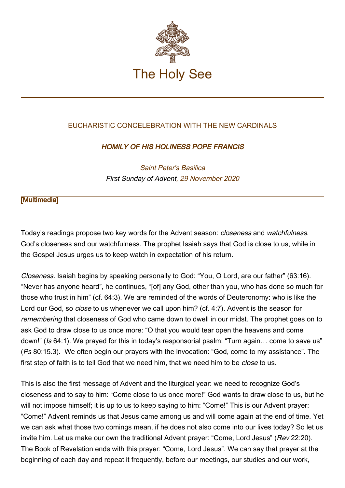

## [EUCHARISTIC CONCELEBRATION WITH THE NEW CARDINALS](http://www.vatican.va/news_services/liturgy/libretti/2020/20201129-libretto-messa-nuovi-cardinali.pdf)

## HOMILY OF HIS HOLINESS POPE FRANCIS

Saint Peter's Basilica First Sunday of Advent, 29 November 2020

## **Multimedial**

Today's readings propose two key words for the Advent season: closeness and watchfulness. God's closeness and our watchfulness. The prophet Isaiah says that God is close to us, while in the Gospel Jesus urges us to keep watch in expectation of his return.

Closeness. Isaiah begins by speaking personally to God: "You, O Lord, are our father" (63:16). "Never has anyone heard", he continues, "[of] any God, other than you, who has done so much for those who trust in him" (cf. 64:3). We are reminded of the words of Deuteronomy: who is like the Lord our God, so close to us whenever we call upon him? (cf. 4:7). Advent is the season for remembering that closeness of God who came down to dwell in our midst. The prophet goes on to ask God to draw close to us once more: "O that you would tear open the heavens and come down!" (Is 64:1). We prayed for this in today's responsorial psalm: "Turn again… come to save us" (Ps 80:15.3). We often begin our prayers with the invocation: "God, come to my assistance". The first step of faith is to tell God that we need him, that we need him to be *close* to us.

This is also the first message of Advent and the liturgical year: we need to recognize God's closeness and to say to him: "Come close to us once more!" God wants to draw close to us, but he will not impose himself; it is up to us to keep saying to him: "Come!" This is our Advent prayer: "Come!" Advent reminds us that Jesus came among us and will come again at the end of time. Yet we can ask what those two comings mean, if he does not also come into our lives today? So let us invite him. Let us make our own the traditional Advent prayer: "Come, Lord Jesus" (Rev 22:20). The Book of Revelation ends with this prayer: "Come, Lord Jesus". We can say that prayer at the beginning of each day and repeat it frequently, before our meetings, our studies and our work,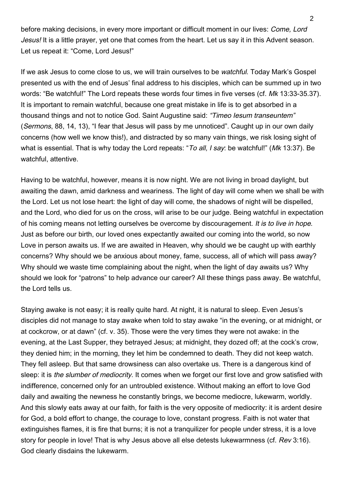before making decisions, in every more important or difficult moment in our lives: Come, Lord Jesus! It is a little prayer, yet one that comes from the heart. Let us say it in this Advent season. Let us repeat it: "Come, Lord Jesus!"

If we ask Jesus to come close to us, we will train ourselves to be watchful. Today Mark's Gospel presented us with the end of Jesus' final address to his disciples, which can be summed up in two words: "Be watchful!" The Lord repeats these words four times in five verses (cf. Mk 13:33-35.37). It is important to remain watchful, because one great mistake in life is to get absorbed in a thousand things and not to notice God. Saint Augustine said: "Timeo Iesum transeuntem" (Sermons, 88, 14, 13), "I fear that Jesus will pass by me unnoticed". Caught up in our own daily concerns (how well we know this!), and distracted by so many vain things, we risk losing sight of what is essential. That is why today the Lord repeats: "To all, I say: be watchful!" (Mk 13:37). Be watchful, attentive.

Having to be watchful, however, means it is now night. We are not living in broad daylight, but awaiting the dawn, amid darkness and weariness. The light of day will come when we shall be with the Lord. Let us not lose heart: the light of day will come, the shadows of night will be dispelled, and the Lord, who died for us on the cross, will arise to be our judge. Being watchful in expectation of his coming means not letting ourselves be overcome by discouragement. It is to live in hope. Just as before our birth, our loved ones expectantly awaited our coming into the world, so now Love in person awaits us. If we are awaited in Heaven, why should we be caught up with earthly concerns? Why should we be anxious about money, fame, success, all of which will pass away? Why should we waste time complaining about the night, when the light of day awaits us? Why should we look for "patrons" to help advance our career? All these things pass away. Be watchful, the Lord tells us.

Staying awake is not easy; it is really quite hard. At night, it is natural to sleep. Even Jesus's disciples did not manage to stay awake when told to stay awake "in the evening, or at midnight, or at cockcrow, or at dawn" (cf. v. 35). Those were the very times they were not awake: in the evening, at the Last Supper, they betrayed Jesus; at midnight, they dozed off; at the cock's crow, they denied him; in the morning, they let him be condemned to death. They did not keep watch. They fell asleep. But that same drowsiness can also overtake us. There is a dangerous kind of sleep: it is the slumber of mediocrity. It comes when we forget our first love and grow satisfied with indifference, concerned only for an untroubled existence. Without making an effort to love God daily and awaiting the newness he constantly brings, we become mediocre, lukewarm, worldly. And this slowly eats away at our faith, for faith is the very opposite of mediocrity: it is ardent desire for God, a bold effort to change, the courage to love, constant progress. Faith is not water that extinguishes flames, it is fire that burns; it is not a tranquilizer for people under stress, it is a love story for people in love! That is why Jesus above all else detests lukewarmness (cf. Rev 3:16). God clearly disdains the lukewarm.